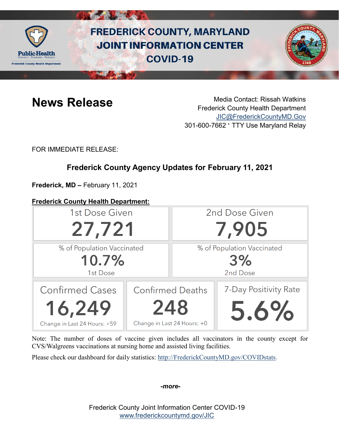

# **FREDERICK COUNTY, MARYLAND JOINT INFORMATION CENTER COVID-19**



**News Release** Media Contact: Rissah Watkins Frederick County Health Department [JIC@FrederickCountyMD.Gov](mailto:JIC@FrederickCountyMD.Gov) 301-600-7662 • TTY Use Maryland Relay

FOR IMMEDIATE RELEASE:

# **Frederick County Agency Updates for February 11, 2021**

**Frederick, MD –** February 11, 2021

# **Frederick County Health Department:**



Note: The number of doses of vaccine given includes all vaccinators in the county except for CVS/Walgreens vaccinations at nursing home and assisted living facilities.

Please check our dashboard for daily statistics: [http://FrederickCountyMD.gov/COVIDstats.](http://frederickcountymd.gov/COVIDstats)

*-more-*

Frederick County Joint Information Center COVID-19 [www.frederickcountymd.gov/JIC](https://frederickcountymd.gov/JIC)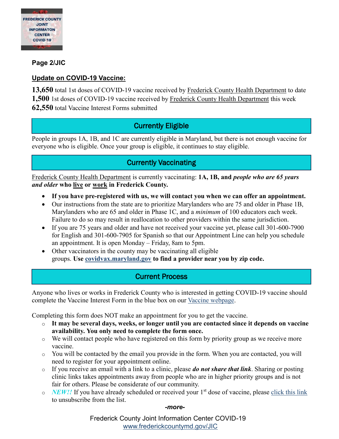

# **Page 2/JIC**

## **Update on COVID-19 Vaccine:**

13,650 total 1st doses of COVID-19 vaccine received by Frederick County Health Department to date **1,500** 1st doses of COVID-19 vaccine received by Frederick County Health Department this week **62,550** total Vaccine Interest Forms submitted

# Currently Eligible

People in groups 1A, 1B, and 1C are currently eligible in Maryland, but there is not enough vaccine for everyone who is eligible. Once your group is eligible, it continues to stay eligible.

# Currently Vaccinating

Frederick County Health Department is currently vaccinating: **1A, 1B, and** *people who are 65 years and older* **who live or work in Frederick County.**

- **If you have pre-registered with us, we will contact you when we can offer an appointment.**
- Our instructions from the state are to prioritize Marylanders who are 75 and older in Phase 1B, Marylanders who are 65 and older in Phase 1C, and a *minimum* of 100 educators each week. Failure to do so may result in reallocation to other providers within the same jurisdiction.
- If you are 75 years and older and have not received your vaccine yet, please call 301-600-7900 for English and 301-600-7905 for Spanish so that our Appointment Line can help you schedule an appointment. It is open Monday – Friday, 8am to 5pm.
- Other vaccinators in the county may be vaccinating all eligible groups. **Use [covidvax.maryland.gov](https://coronavirus.maryland.gov/pages/vaccine) to find a provider near you by zip code.**

# Current Process

Anyone who lives or works in Frederick County who is interested in getting COVID-19 vaccine should complete the Vaccine Interest Form in the blue box on our [Vaccine webpage.](https://health.frederickcountymd.gov/629/COVID-19-Vaccine)

Completing this form does NOT make an appointment for you to get the vaccine.

- o **It may be several days, weeks, or longer until you are contacted since it depends on vaccine availability. You only need to complete the form once.**
- o We will contact people who have registered on this form by priority group as we receive more vaccine.
- o You will be contacted by the email you provide in the form. When you are contacted, you will need to register for your appointment online.
- o If you receive an email with a link to a clinic, please *do not share that link*. Sharing or posting clinic links takes appointments away from people who are in higher priority groups and is not fair for others. Please be considerate of our community.
- o *NEW!!* If you have already scheduled or received your 1<sup>st</sup> dose of vaccine, please [click this link](https://forms.office.com/Pages/ResponsePage.aspx?id=LTTGSAY4Q0id7GpAsbuHNwWNYN1Yz5tBp0XTFg0s7vVUQzg2UFZYWVEzOThNVUtWRkpYSjNOUlBSUCQlQCN0PWcu) to unsubscribe from the list.

*-more-*

Frederick County Joint Information Center COVID-19 [www.frederickcountymd.gov/JIC](https://frederickcountymd.gov/JIC)